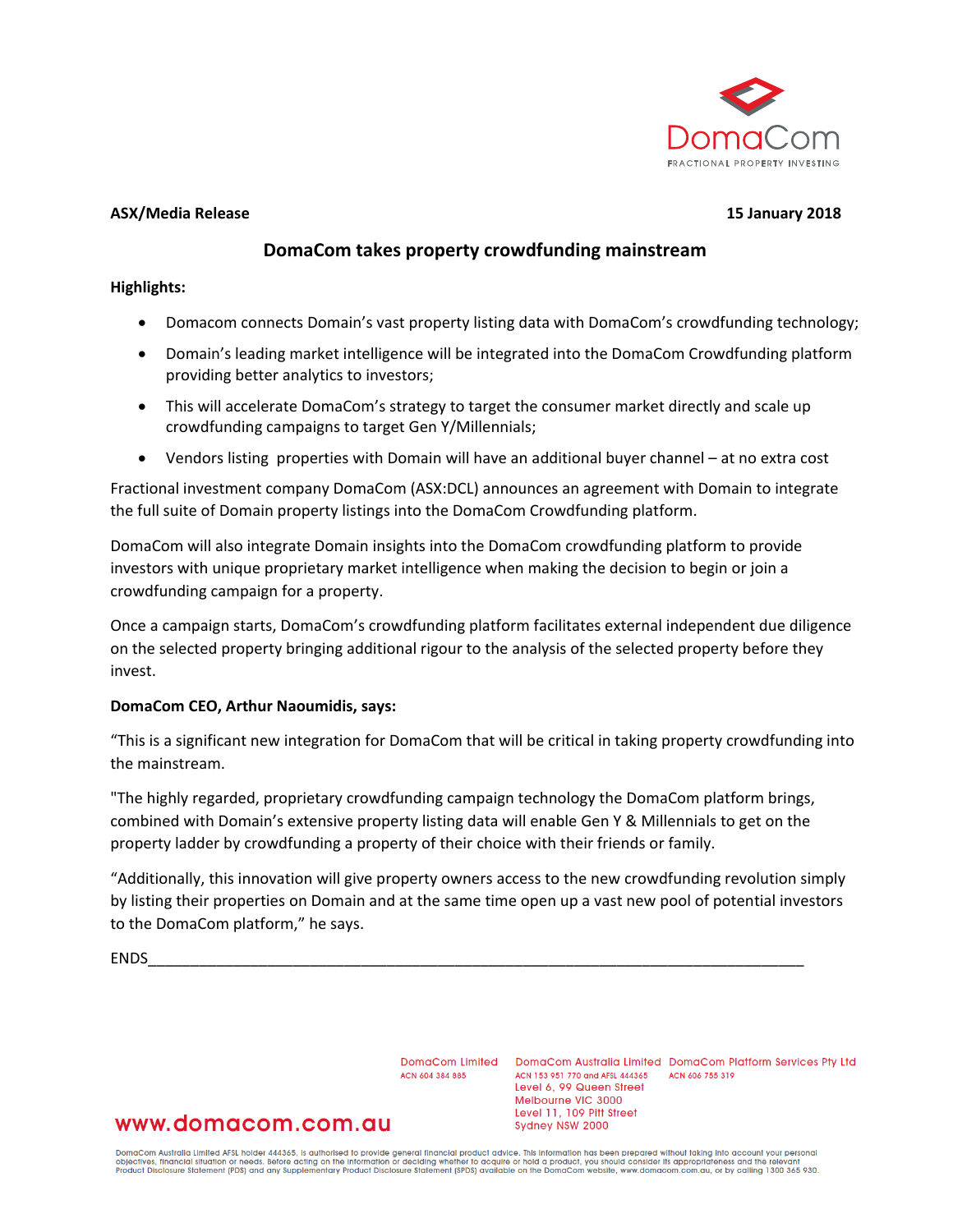

#### **ASX/Media Release 15 January 2018**

## **DomaCom takes property crowdfunding mainstream**

#### **Highlights:**

- Domacom connects Domain's vast property listing data with DomaCom's crowdfunding technology;
- Domain's leading market intelligence will be integrated into the DomaCom Crowdfunding platform providing better analytics to investors;
- This will accelerate DomaCom's strategy to target the consumer market directly and scale up crowdfunding campaigns to target Gen Y/Millennials;
- Vendors listing properties with Domain will have an additional buyer channel at no extra cost

Fractional investment company DomaCom (ASX:DCL) announces an agreement with Domain to integrate the full suite of Domain property listings into the DomaCom Crowdfunding platform.

DomaCom will also integrate Domain insights into the DomaCom crowdfunding platform to provide investors with unique proprietary market intelligence when making the decision to begin or join a crowdfunding campaign for a property.

Once a campaign starts, DomaCom's crowdfunding platform facilitates external independent due diligence on the selected property bringing additional rigour to the analysis of the selected property before they invest.

### **DomaCom CEO, Arthur Naoumidis, says:**

"This is a significant new integration for DomaCom that will be critical in taking property crowdfunding into the mainstream.

"The highly regarded, proprietary crowdfunding campaign technology the DomaCom platform brings, combined with Domain's extensive property listing data will enable Gen Y & Millennials to get on the property ladder by crowdfunding a property of their choice with their friends or family.

"Additionally, this innovation will give property owners access to the new crowdfunding revolution simply by listing their properties on Domain and at the same time open up a vast new pool of potential investors to the DomaCom platform," he says.

ENDS\_\_\_\_\_\_\_\_\_\_\_\_\_\_\_\_\_\_\_\_\_\_\_\_\_\_\_\_\_\_\_\_\_\_\_\_\_\_\_\_\_\_\_\_\_\_\_\_\_\_\_\_\_\_\_\_\_\_\_\_\_\_\_\_\_\_\_\_\_\_\_\_\_\_\_\_\_

ACN 604 384 885

DomaCom Limited DomaCom Australia Limited DomaCom Platform Services Pty Ltd ACN 153 951 770 and AFSL 444365 ACN 606 755 319 Level 6, 99 Queen Street Melbourne VIC 3000 Level 11, 109 Pitt Street Sydney NSW 2000

# www.domacom.com.au

DomaCom Australia Limited AFSL holder 444365, is authorised to provide general financial product advice. This information has been prepared without taking into account your personal<br>objectives, financial situation or needs